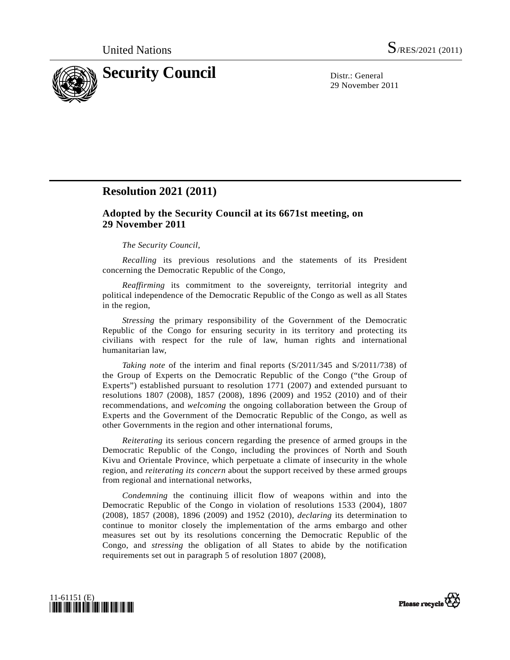

29 November 2011

## **Resolution 2021 (2011)**

## **Adopted by the Security Council at its 6671st meeting, on 29 November 2011**

## *The Security Council*,

*Recalling* its previous resolutions and the statements of its President concerning the Democratic Republic of the Congo,

*Reaffirming* its commitment to the sovereignty, territorial integrity and political independence of the Democratic Republic of the Congo as well as all States in the region,

*Stressing* the primary responsibility of the Government of the Democratic Republic of the Congo for ensuring security in its territory and protecting its civilians with respect for the rule of law, human rights and international humanitarian law,

*Taking note* of the interim and final reports (S/2011/345 and S/2011/738) of the Group of Experts on the Democratic Republic of the Congo ("the Group of Experts") established pursuant to resolution 1771 (2007) and extended pursuant to resolutions 1807 (2008), 1857 (2008), 1896 (2009) and 1952 (2010) and of their recommendations, and *welcoming* the ongoing collaboration between the Group of Experts and the Government of the Democratic Republic of the Congo, as well as other Governments in the region and other international forums,

*Reiterating* its serious concern regarding the presence of armed groups in the Democratic Republic of the Congo, including the provinces of North and South Kivu and Orientale Province, which perpetuate a climate of insecurity in the whole region, and *reiterating its concern* about the support received by these armed groups from regional and international networks,

*Condemning* the continuing illicit flow of weapons within and into the Democratic Republic of the Congo in violation of resolutions 1533 (2004), 1807 (2008), 1857 (2008), 1896 (2009) and 1952 (2010), *declaring* its determination to continue to monitor closely the implementation of the arms embargo and other measures set out by its resolutions concerning the Democratic Republic of the Congo, and *stressing* the obligation of all States to abide by the notification requirements set out in paragraph 5 of resolution 1807 (2008),



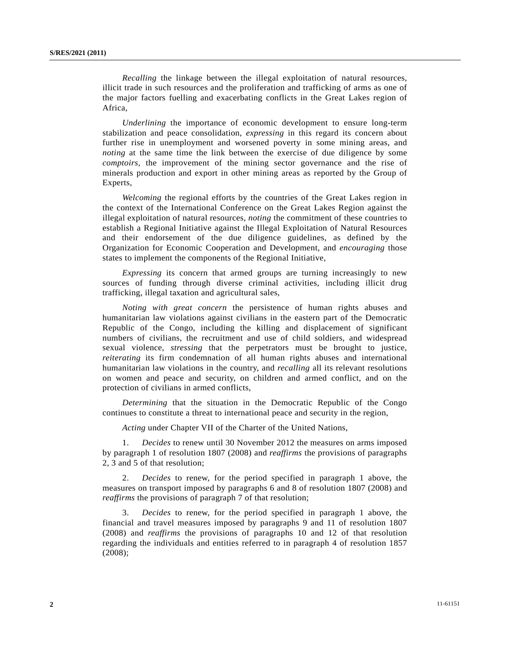*Recalling* the linkage between the illegal exploitation of natural resources, illicit trade in such resources and the proliferation and trafficking of arms as one of the major factors fuelling and exacerbating conflicts in the Great Lakes region of Africa,

*Underlining* the importance of economic development to ensure long-term stabilization and peace consolidation, *expressing* in this regard its concern about further rise in unemployment and worsened poverty in some mining areas, and *noting* at the same time the link between the exercise of due diligence by some *comptoirs*, the improvement of the mining sector governance and the rise of minerals production and export in other mining areas as reported by the Group of Experts,

*Welcoming* the regional efforts by the countries of the Great Lakes region in the context of the International Conference on the Great Lakes Region against the illegal exploitation of natural resources, *noting* the commitment of these countries to establish a Regional Initiative against the Illegal Exploitation of Natural Resources and their endorsement of the due diligence guidelines, as defined by the Organization for Economic Cooperation and Development, and *encouraging* those states to implement the components of the Regional Initiative,

*Expressing* its concern that armed groups are turning increasingly to new sources of funding through diverse criminal activities, including illicit drug trafficking, illegal taxation and agricultural sales,

*Noting with great concern* the persistence of human rights abuses and humanitarian law violations against civilians in the eastern part of the Democratic Republic of the Congo, including the killing and displacement of significant numbers of civilians, the recruitment and use of child soldiers, and widespread sexual violence, *stressing* that the perpetrators must be brought to justice, *reiterating* its firm condemnation of all human rights abuses and international humanitarian law violations in the country, and *recalling* all its relevant resolutions on women and peace and security, on children and armed conflict, and on the protection of civilians in armed conflicts,

*Determining* that the situation in the Democratic Republic of the Congo continues to constitute a threat to international peace and security in the region,

*Acting* under Chapter VII of the Charter of the United Nations,

 1. *Decides* to renew until 30 November 2012 the measures on arms imposed by paragraph 1 of resolution 1807 (2008) and *reaffirms* the provisions of paragraphs 2, 3 and 5 of that resolution;

 2. *Decides* to renew, for the period specified in paragraph 1 above, the measures on transport imposed by paragraphs 6 and 8 of resolution 1807 (2008) and *reaffirms* the provisions of paragraph 7 of that resolution;

 3. *Decides* to renew, for the period specified in paragraph 1 above, the financial and travel measures imposed by paragraphs 9 and 11 of resolution 1807 (2008) and *reaffirms* the provisions of paragraphs 10 and 12 of that resolution regarding the individuals and entities referred to in paragraph 4 of resolution 1857 (2008);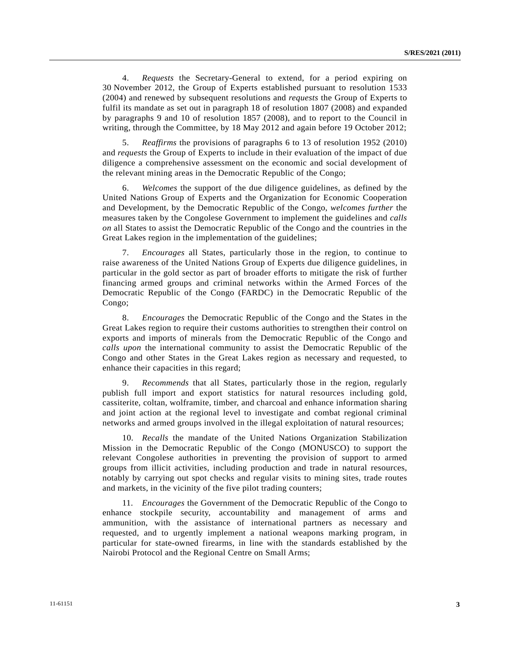4. *Requests* the Secretary-General to extend, for a period expiring on 30 November 2012, the Group of Experts established pursuant to resolution 1533 (2004) and renewed by subsequent resolutions and *requests* the Group of Experts to fulfil its mandate as set out in paragraph 18 of resolution 1807 (2008) and expanded by paragraphs 9 and 10 of resolution 1857 (2008), and to report to the Council in writing, through the Committee, by 18 May 2012 and again before 19 October 2012;

 5. *Reaffirms* the provisions of paragraphs 6 to 13 of resolution 1952 (2010) and *requests* the Group of Experts to include in their evaluation of the impact of due diligence a comprehensive assessment on the economic and social development of the relevant mining areas in the Democratic Republic of the Congo;

 6. *Welcomes* the support of the due diligence guidelines, as defined by the United Nations Group of Experts and the Organization for Economic Cooperation and Development, by the Democratic Republic of the Congo, *welcomes further* the measures taken by the Congolese Government to implement the guidelines and *calls on* all States to assist the Democratic Republic of the Congo and the countries in the Great Lakes region in the implementation of the guidelines;

 7. *Encourages* all States, particularly those in the region, to continue to raise awareness of the United Nations Group of Experts due diligence guidelines, in particular in the gold sector as part of broader efforts to mitigate the risk of further financing armed groups and criminal networks within the Armed Forces of the Democratic Republic of the Congo (FARDC) in the Democratic Republic of the Congo;

 8. *Encourages* the Democratic Republic of the Congo and the States in the Great Lakes region to require their customs authorities to strengthen their control on exports and imports of minerals from the Democratic Republic of the Congo and *calls upon* the international community to assist the Democratic Republic of the Congo and other States in the Great Lakes region as necessary and requested, to enhance their capacities in this regard;

 9. *Recommends* that all States, particularly those in the region, regularly publish full import and export statistics for natural resources including gold, cassiterite, coltan, wolframite, timber, and charcoal and enhance information sharing and joint action at the regional level to investigate and combat regional criminal networks and armed groups involved in the illegal exploitation of natural resources;

 10. *Recalls* the mandate of the United Nations Organization Stabilization Mission in the Democratic Republic of the Congo (MONUSCO) to support the relevant Congolese authorities in preventing the provision of support to armed groups from illicit activities, including production and trade in natural resources, notably by carrying out spot checks and regular visits to mining sites, trade routes and markets, in the vicinity of the five pilot trading counters;

 11. *Encourages* the Government of the Democratic Republic of the Congo to enhance stockpile security, accountability and management of arms and ammunition, with the assistance of international partners as necessary and requested, and to urgently implement a national weapons marking program, in particular for state-owned firearms, in line with the standards established by the Nairobi Protocol and the Regional Centre on Small Arms;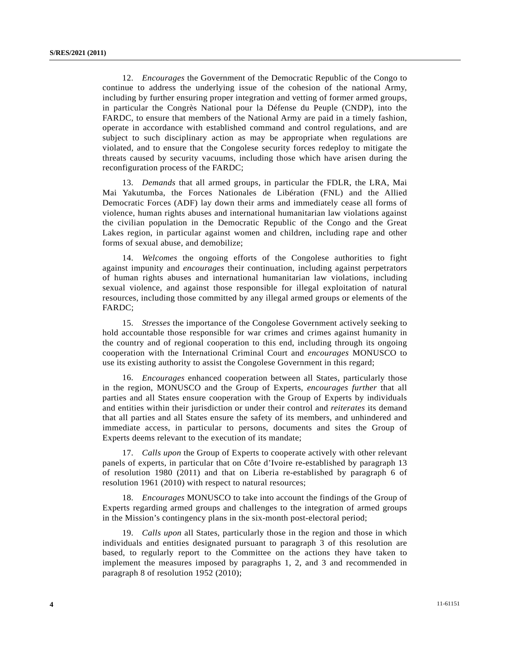12. *Encourages* the Government of the Democratic Republic of the Congo to continue to address the underlying issue of the cohesion of the national Army, including by further ensuring proper integration and vetting of former armed groups, in particular the Congrès National pour la Défense du Peuple (CNDP), into the FARDC, to ensure that members of the National Army are paid in a timely fashion, operate in accordance with established command and control regulations, and are subject to such disciplinary action as may be appropriate when regulations are violated, and to ensure that the Congolese security forces redeploy to mitigate the threats caused by security vacuums, including those which have arisen during the reconfiguration process of the FARDC;

 13. *Demands* that all armed groups, in particular the FDLR, the LRA, Mai Mai Yakutumba, the Forces Nationales de Libération (FNL) and the Allied Democratic Forces (ADF) lay down their arms and immediately cease all forms of violence, human rights abuses and international humanitarian law violations against the civilian population in the Democratic Republic of the Congo and the Great Lakes region, in particular against women and children, including rape and other forms of sexual abuse, and demobilize;

 14. *Welcomes* the ongoing efforts of the Congolese authorities to fight against impunity and *encourages* their continuation, including against perpetrators of human rights abuses and international humanitarian law violations, including sexual violence, and against those responsible for illegal exploitation of natural resources, including those committed by any illegal armed groups or elements of the FARDC;

 15. *Stresses* the importance of the Congolese Government actively seeking to hold accountable those responsible for war crimes and crimes against humanity in the country and of regional cooperation to this end, including through its ongoing cooperation with the International Criminal Court and *encourages* MONUSCO to use its existing authority to assist the Congolese Government in this regard;

 16. *Encourages* enhanced cooperation between all States, particularly those in the region, MONUSCO and the Group of Experts, *encourages further* that all parties and all States ensure cooperation with the Group of Experts by individuals and entities within their jurisdiction or under their control and *reiterates* its demand that all parties and all States ensure the safety of its members, and unhindered and immediate access, in particular to persons, documents and sites the Group of Experts deems relevant to the execution of its mandate;

 17. *Calls upon* the Group of Experts to cooperate actively with other relevant panels of experts, in particular that on Côte d'Ivoire re-established by paragraph 13 of resolution 1980 (2011) and that on Liberia re-established by paragraph 6 of resolution 1961 (2010) with respect to natural resources;

 18. *Encourages* MONUSCO to take into account the findings of the Group of Experts regarding armed groups and challenges to the integration of armed groups in the Mission's contingency plans in the six-month post-electoral period;

 19. *Calls upon* all States, particularly those in the region and those in which individuals and entities designated pursuant to paragraph 3 of this resolution are based, to regularly report to the Committee on the actions they have taken to implement the measures imposed by paragraphs 1, 2, and 3 and recommended in paragraph 8 of resolution 1952 (2010);